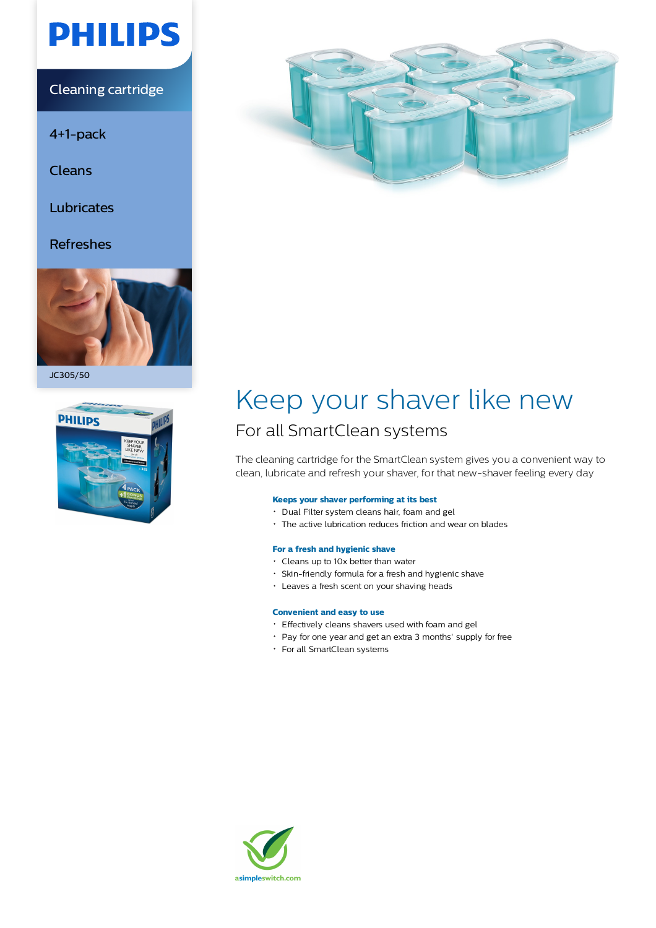# **PHILIPS**

Cleaning cartridge

4+1-pack

Cleans

Lubricates

### Refreshes



JC305/50





## Keep your shaver like new

### For all SmartClean systems

The cleaning cartridge for the SmartClean system gives you a convenient way to clean, lubricate and refresh your shaver, for that new-shaver feeling every day

#### **Keeps your shaver performing at its best**

- Dual Filter system cleans hair, foam and gel
- The active lubrication reduces friction and wear on blades

#### **For a fresh and hygienic shave**

- Cleans up to 10x better than water
- Skin-friendly formula for a fresh and hygienic shave
- Leaves a fresh scent on your shaving heads

#### **Convenient and easy to use**

- Effectively cleans shavers used with foam and gel
- Pay for one year and get an extra 3 months' supply for free
- For all SmartClean systems

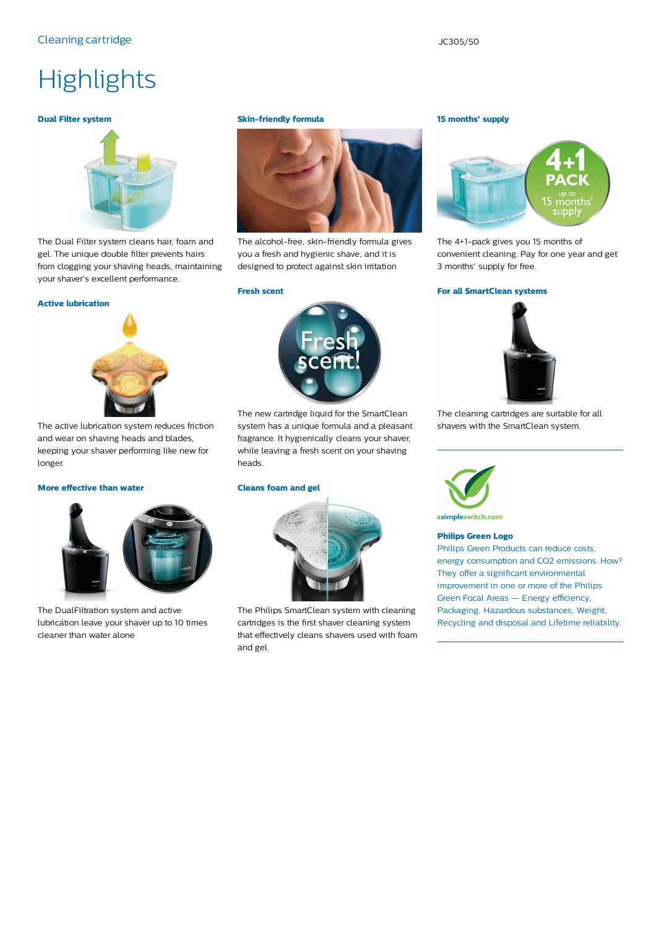#### Cleaning cartridge  $JC$ 305/50

### **Highlights**

#### **Dual Filter system**



The Dual Filter system cleans hair, foam and gel. The unique double filter prevents hairs from clogging your shaving heads, maintaining your shaver's excellent performance.

#### **Active lubrication**



The active lubrication system reduces friction and wear on shaving heads and blades, keeping your shaver performing like new for longer.

#### **More effective than water**



The DualFiltration system and active lubrication leave your shaver up to 10 times cleaner than water alone

#### **Skin-friendly formula**



The alcohol-free, skin-friendly formula gives you a fresh and hygienic shave, and it is designed to protect against skin irritation

#### **Fresh scent**



The new cartridge liquid for the SmartClean system has a unique formula and a pleasant fragrance. It hygienically cleans your shaver, while leaving a fresh scent on your shaving heads.

#### **Cleans foam and gel**



The Philips SmartClean system with cleaning cartridges is the first shaver cleaning system that effectively cleans shavers used with foam and gel.

#### **15 months' supply**



The 4+1-pack gives you 15 months of convenient cleaning. Pay for one year and get 3 months' supply for free.

#### **For all SmartClean systems**



The cleaning cartridges are suitable for all shavers with the SmartClean system.



asimpleswitch.com

#### **Philips Green Logo**

Philips Green Products can reduce costs, energy consumption and CO2 emissions. How? They offer a significant environmental improvement in one or more of the Philips Green Focal Areas — Energy efficiency, Packaging, Hazardous substances, Weight, Recycling and disposal and Lifetime reliability.